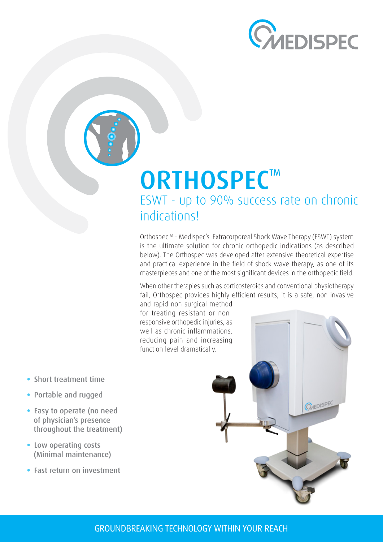

# **ORTHOSPEC™** ESWT - up to 90% success rate on chronic indications!

Orthospec<sup>™</sup> - Medispec's Extracorporeal Shock Wave Therapy (ESWT) system is the ultimate solution for chronic orthopedic indications (as described below). The Orthospec was developed after extensive theoretical expertise and practical experience in the field of shock wave therapy, as one of its masterpieces and one of the most significant devices in the orthopedic field.

When other therapies such as corticosteroids and conventional physiotherapy fail, Orthospec provides highly efficient results; it is a safe, non-invasive

and rapid non-surgical method responsive orthopedic injuries, as for treating resistant or nonwell as chronic inflammations, reducing pain and increasing function level dramatically.

- **•** Short treatment time
- **Portable and rugged**
- Easy to operate (no need of physician's presence throughout the treatment)
- Low operating costs (Minimal maintenance)
- **Fast return on investment**



#### GROUNDBREAKING TECHNOLOGY WITHIN YOUR REACH